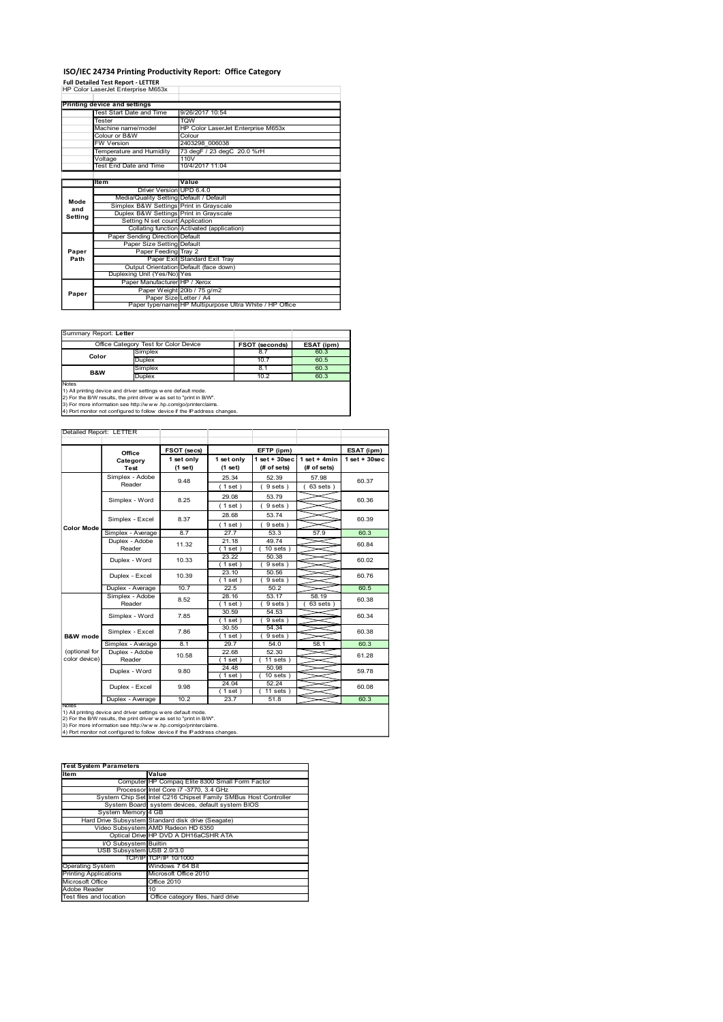#### ISO/IEC 24734 Printing Productivity Report: Office Category

|               | <b>Full Detailed Test Report - LETTER</b>                                                                                               |                                                               |                          | ISO/IEC 24734 Printing Productivity Report: Office Category                       |                              |                                |                 |
|---------------|-----------------------------------------------------------------------------------------------------------------------------------------|---------------------------------------------------------------|--------------------------|-----------------------------------------------------------------------------------|------------------------------|--------------------------------|-----------------|
|               | HP Color LaserJet Enterprise M653x                                                                                                      |                                                               |                          |                                                                                   |                              |                                |                 |
|               | Printing device and settings<br>Test Start Date and Time<br>Tester                                                                      |                                                               | <b>TQW</b>               | 9/26/2017 10:54                                                                   |                              |                                |                 |
|               | Machine name/model<br>Colour or B&W                                                                                                     |                                                               | Colour                   | HP Color LaserJet Enterprise M653x                                                |                              |                                |                 |
|               | <b>FW Version</b><br>Temperature and Humidity                                                                                           |                                                               |                          | 2403298 006038<br>73 degF / 23 degC 20.0 %rH                                      |                              |                                |                 |
|               | Voltage<br><b>Test End Date and Time</b>                                                                                                |                                                               | 110V                     | 10/4/2017 11:04                                                                   |                              |                                |                 |
|               | Item                                                                                                                                    |                                                               | Value                    |                                                                                   |                              |                                |                 |
|               |                                                                                                                                         |                                                               | Driver Version UPD 6.4.0 | Media/Quality Setting Default / Default                                           |                              |                                |                 |
| Mode<br>and   |                                                                                                                                         |                                                               |                          | Simplex B&W Settings Print in Grayscale<br>Duplex B&W Settings Print in Grayscale |                              |                                |                 |
| Setting       |                                                                                                                                         | Setting N set count Application                               |                          | Collating function Activated (application)                                        |                              |                                |                 |
|               |                                                                                                                                         | Paper Sending Direction Default<br>Paper Size Setting Default |                          |                                                                                   |                              |                                |                 |
| Paper<br>Path |                                                                                                                                         |                                                               | Paper Feeding Tray 2     | Paper Exit Standard Exit Tray                                                     |                              |                                |                 |
|               |                                                                                                                                         | Duplexing Unit (Yes/No) Yes                                   |                          | Output Orientation Default (face down)                                            |                              |                                |                 |
| Paper         |                                                                                                                                         | Paper Manufacturer HP / Xerox                                 | Paper Size Letter / A4   | Paper Weight 20lb / 75 g/m2                                                       |                              |                                |                 |
|               |                                                                                                                                         |                                                               |                          | Paper type/name HP Multipurpose Ultra White / HP Office                           |                              |                                |                 |
|               |                                                                                                                                         |                                                               |                          |                                                                                   |                              |                                |                 |
|               | Summary Report: Letter<br>Office Category Test for Color Device                                                                         |                                                               |                          |                                                                                   | FSOT (seconds)               | ESAT (ipm)                     |                 |
|               | Color                                                                                                                                   | Simplex<br>Duplex                                             |                          |                                                                                   | 8.7<br>10.7                  | 60.3<br>60.5                   |                 |
|               | B&W                                                                                                                                     | Simplex<br>Duplex                                             |                          |                                                                                   | 8.1<br>10.2                  | 60.3<br>60.3                   |                 |
| Notes         | 1) All printing device and driver settings w ere default mode.                                                                          |                                                               |                          |                                                                                   |                              |                                |                 |
|               | 2) For the B/W results, the print driver w as set to "print in B/W".<br>3) For more information see http://www.hp.com/go/printerclaims. |                                                               |                          | 4) Port monitor not configured to follow device if the IP address changes.        |                              |                                |                 |
|               |                                                                                                                                         |                                                               |                          |                                                                                   |                              |                                |                 |
|               | Detailed Report: LETTER                                                                                                                 |                                                               |                          |                                                                                   |                              |                                |                 |
|               |                                                                                                                                         |                                                               |                          |                                                                                   | EFTP (ipm)                   |                                | ESAT (ipm)      |
|               |                                                                                                                                         | Office                                                        | FSOT (secs)              |                                                                                   |                              |                                |                 |
|               |                                                                                                                                         | Category<br>Test                                              | 1 set only<br>(1 set)    | 1 set only<br>(1 set)                                                             | 1 set + 30sec<br>(# of sets) | $1 set + 4 min$<br>(# of sets) | $1$ set + 30sec |
|               |                                                                                                                                         | Simplex - Adobe<br>Reader                                     | 9.48                     | 25.34<br>(1 set)                                                                  | 52.39<br>9 sets)             | 57.98<br>63 sets)              | 60.37           |
|               |                                                                                                                                         | Simplex - Word                                                | 8.25                     | 29.08<br>(1 set)                                                                  | 53.79<br>9 sets)             |                                | 60.36           |

|                | Office Category Test for Color Device | FSOT (seconds) | ESAT (ipm) |
|----------------|---------------------------------------|----------------|------------|
| Color          | Simplex                               | 8.7            | 60.3       |
|                | <b>Duplex</b>                         | 10.7           | 60.5       |
| <b>B&amp;W</b> | Simplex                               | 8.1            | 60.3       |
|                | Duplex                                | 10.2           | 60.3       |
| <b>Notes</b>   |                                       |                |            |

|                                                         | Voltage<br>Test End Date and Time                                                                                                                                                                                                                                                      | 110V                                                                          | 10/4/2017 11:04  |                                                         |                   |                    |
|---------------------------------------------------------|----------------------------------------------------------------------------------------------------------------------------------------------------------------------------------------------------------------------------------------------------------------------------------------|-------------------------------------------------------------------------------|------------------|---------------------------------------------------------|-------------------|--------------------|
|                                                         | ltem                                                                                                                                                                                                                                                                                   | Value                                                                         |                  |                                                         |                   |                    |
|                                                         |                                                                                                                                                                                                                                                                                        | Driver Version UPD 6.4.0                                                      |                  |                                                         |                   |                    |
| Mode                                                    | Media/Quality Setting Default / Default<br>Simplex B&W Settings Print in Grayscale                                                                                                                                                                                                     |                                                                               |                  |                                                         |                   |                    |
| and<br>Setting                                          | Duplex B&W Settings Print in Grayscale                                                                                                                                                                                                                                                 |                                                                               |                  |                                                         |                   |                    |
|                                                         |                                                                                                                                                                                                                                                                                        | Setting N set count Application<br>Collating function Activated (application) |                  |                                                         |                   |                    |
|                                                         | Paper Sending Direction Default                                                                                                                                                                                                                                                        |                                                                               |                  |                                                         |                   |                    |
|                                                         |                                                                                                                                                                                                                                                                                        | Paper Size Setting Default                                                    |                  |                                                         |                   |                    |
| Paper<br>Path                                           | Paper Feeding                                                                                                                                                                                                                                                                          | Tray 2<br>Paper Exit Standard Exit Tray                                       |                  |                                                         |                   |                    |
|                                                         |                                                                                                                                                                                                                                                                                        | Output Orientation Default (face down)                                        |                  |                                                         |                   |                    |
|                                                         | Duplexing Unit (Yes/No) Yes                                                                                                                                                                                                                                                            | Paper Manufacturer HP / Xerox                                                 |                  |                                                         |                   |                    |
|                                                         |                                                                                                                                                                                                                                                                                        | Paper Weight 20lb / 75 g/m2                                                   |                  |                                                         |                   |                    |
| Paper                                                   |                                                                                                                                                                                                                                                                                        | Paper Size Letter / A4                                                        |                  |                                                         |                   |                    |
|                                                         |                                                                                                                                                                                                                                                                                        |                                                                               |                  | Paper type/name HP Multipurpose Ultra White / HP Office |                   |                    |
|                                                         |                                                                                                                                                                                                                                                                                        |                                                                               |                  |                                                         |                   |                    |
| Summary Report: Letter                                  |                                                                                                                                                                                                                                                                                        |                                                                               |                  |                                                         |                   |                    |
|                                                         | Office Category Test for Color Device                                                                                                                                                                                                                                                  |                                                                               |                  | FSOT (seconds)                                          | ESAT (ipm)        |                    |
| Color                                                   | Simplex                                                                                                                                                                                                                                                                                |                                                                               |                  | 8.7                                                     | 60.3              |                    |
|                                                         | Duplex<br>Simplex                                                                                                                                                                                                                                                                      |                                                                               |                  | 10.7<br>8.1                                             | 60.5<br>60.3      |                    |
| B&W                                                     | Duplex                                                                                                                                                                                                                                                                                 |                                                                               |                  | 10.2                                                    | 60.3              |                    |
| Notes                                                   |                                                                                                                                                                                                                                                                                        |                                                                               |                  |                                                         |                   |                    |
|                                                         | 1) All printing device and driver settings were default mode.<br>2) For the B/W results, the print driver w as set to "print in B/W".<br>3) For more information see http://www.hp.com/go/printerclaims.<br>4) Port monitor not configured to follow device if the IP address changes. |                                                                               |                  |                                                         |                   |                    |
|                                                         |                                                                                                                                                                                                                                                                                        |                                                                               |                  |                                                         |                   |                    |
| Detailed Report: LETTER                                 |                                                                                                                                                                                                                                                                                        |                                                                               |                  |                                                         |                   |                    |
|                                                         | Office                                                                                                                                                                                                                                                                                 | FSOT (secs)                                                                   |                  | EFTP (ipm)                                              |                   | ESAT (ipm)         |
|                                                         | Category                                                                                                                                                                                                                                                                               | 1 set only                                                                    | 1 set only       | lset + 30sec                                            | $1 set + 4 min$   | $1$ set + $30$ sec |
|                                                         | Test                                                                                                                                                                                                                                                                                   | (1 set)                                                                       | (1 set)          | (# of sets)                                             | (# of sets)       |                    |
|                                                         | Simplex - Adobe<br>Reader                                                                                                                                                                                                                                                              | 9.48                                                                          | 25.34<br>(1 set) | 52.39<br>(9 sets)                                       | 57.98<br>63 sets) | 60.37              |
|                                                         |                                                                                                                                                                                                                                                                                        |                                                                               | 29.08            | 53.79                                                   |                   |                    |
|                                                         | Simplex - Word                                                                                                                                                                                                                                                                         | 8.25                                                                          | (1 set)          | (9 sets)                                                |                   | 60.36              |
|                                                         |                                                                                                                                                                                                                                                                                        | 8.37                                                                          | 28.68            | 53.74                                                   |                   |                    |
| Color Mode                                              | Simplex - Excel                                                                                                                                                                                                                                                                        |                                                                               | (1 set)          | 9 sets)                                                 |                   | 60.39              |
|                                                         | Simplex - Average                                                                                                                                                                                                                                                                      | 8.7                                                                           | 27.7             | 53.3                                                    | 57.9              | 60.3               |
|                                                         | Duplex - Adobe<br>Reader                                                                                                                                                                                                                                                               | 11.32                                                                         | 21.18            | 49.74                                                   |                   | 60.84              |
|                                                         |                                                                                                                                                                                                                                                                                        |                                                                               | (1 set)<br>23.22 | 10 sets<br>50.38                                        |                   |                    |
|                                                         | Duplex - Word                                                                                                                                                                                                                                                                          | 10.33                                                                         | (1 set)          | (9 sets)                                                |                   | 60.02              |
|                                                         | Duplex - Excel                                                                                                                                                                                                                                                                         | 10.39                                                                         | 23.10            | 50.56                                                   |                   | 60.76              |
|                                                         |                                                                                                                                                                                                                                                                                        |                                                                               | (1 set)          | 9 sets                                                  |                   |                    |
|                                                         | Duplex - Average<br>Simplex - Adobe                                                                                                                                                                                                                                                    | 10.7                                                                          | 22.5<br>28.16    | 50.2<br>53.17                                           | 58.19             | 60.5               |
|                                                         | Reader                                                                                                                                                                                                                                                                                 | 8.52                                                                          | (1 set)          | (9 sets)                                                | $63$ sets $)$     | 60.38              |
|                                                         | Simplex - Word                                                                                                                                                                                                                                                                         | 7.85                                                                          | 30.59            | 54.53                                                   |                   | 60.34              |
|                                                         |                                                                                                                                                                                                                                                                                        |                                                                               | (1 set)<br>30.55 | 9 sets)<br>54.34                                        |                   |                    |
| <b>B&amp;W</b> mode                                     | Simplex - Excel                                                                                                                                                                                                                                                                        | 7.86                                                                          | (1 set)          | (9 sets)                                                |                   | 60.38              |
|                                                         | Simplex - Average                                                                                                                                                                                                                                                                      | 8.1                                                                           | 29.7             | 54.0                                                    | 58.1              | 60.3               |
| (optional for                                           | Duplex - Adobe                                                                                                                                                                                                                                                                         | 10.58                                                                         | 22.68            | 52.30                                                   |                   | 61.28              |
| color device)                                           | Reader                                                                                                                                                                                                                                                                                 |                                                                               | (1 set)<br>24.48 | 11 sets<br>50.98                                        |                   |                    |
|                                                         | Duplex - Word                                                                                                                                                                                                                                                                          | 9.80                                                                          | (1 set)          | $10$ sets $)$                                           |                   | 59.78              |
|                                                         | Duplex - Excel                                                                                                                                                                                                                                                                         | 9.98                                                                          | 24.04            | 52.24                                                   |                   | 60.08              |
|                                                         |                                                                                                                                                                                                                                                                                        |                                                                               | (1 set)          | $11$ sets $)$                                           |                   |                    |
| <b>Notes</b>                                            | Duplex - Average                                                                                                                                                                                                                                                                       | 10.2                                                                          | 23.7             | 51.8                                                    |                   | 60.3               |
|                                                         | 1) All printing device and driver settings w ere default mode.<br>2) For the B/W results, the print driver w as set to "print in B/W".                                                                                                                                                 |                                                                               |                  |                                                         |                   |                    |
|                                                         | 3) For more information see http://www.hp.com/go/printerclaims.                                                                                                                                                                                                                        |                                                                               |                  |                                                         |                   |                    |
|                                                         | 4) Port monitor not configured to follow device if the IP address changes.                                                                                                                                                                                                             |                                                                               |                  |                                                         |                   |                    |
|                                                         |                                                                                                                                                                                                                                                                                        |                                                                               |                  |                                                         |                   |                    |
|                                                         |                                                                                                                                                                                                                                                                                        |                                                                               |                  |                                                         |                   |                    |
|                                                         | <b>Test System Parameters</b>                                                                                                                                                                                                                                                          |                                                                               |                  |                                                         |                   |                    |
| Item                                                    | Value                                                                                                                                                                                                                                                                                  | Computer HP Compaq Elite 8300 Small Form Factor                               |                  |                                                         |                   |                    |
|                                                         | Processor Intel Core i7 -3770, 3.4 GHz                                                                                                                                                                                                                                                 |                                                                               |                  |                                                         |                   |                    |
|                                                         | System Chip Set Intel C216 Chipset Family SMBus Host Controller                                                                                                                                                                                                                        |                                                                               |                  |                                                         |                   |                    |
|                                                         | System Board<br>System Memory 4 GB                                                                                                                                                                                                                                                     | system devices, default system BIOS                                           |                  |                                                         |                   |                    |
|                                                         | Hard Drive Subsystem Standard disk drive (Seagate)                                                                                                                                                                                                                                     |                                                                               |                  |                                                         |                   |                    |
|                                                         | Video Subsystem AMD Radeon HD 6350<br>Optical Drive HP DVD A DH16aCSHR ATA                                                                                                                                                                                                             |                                                                               |                  |                                                         |                   |                    |
|                                                         | I/O Subsystem Builtin                                                                                                                                                                                                                                                                  |                                                                               |                  |                                                         |                   |                    |
|                                                         | USB Subsystem USB 2.0/3.0                                                                                                                                                                                                                                                              |                                                                               |                  |                                                         |                   |                    |
|                                                         |                                                                                                                                                                                                                                                                                        | TCP/IP TCP/IP 10/1000<br>Windows 7 64 Bit                                     |                  |                                                         |                   |                    |
| <b>Operating System</b><br><b>Printing Applications</b> |                                                                                                                                                                                                                                                                                        | Microsoft Office 2010                                                         |                  |                                                         |                   |                    |
| Microsoft Office                                        |                                                                                                                                                                                                                                                                                        | Office 2010                                                                   |                  |                                                         |                   |                    |
| Adobe Reader<br>Test files and location                 | 10                                                                                                                                                                                                                                                                                     | Office category files, hard drive                                             |                  |                                                         |                   |                    |
|                                                         |                                                                                                                                                                                                                                                                                        |                                                                               |                  |                                                         |                   |                    |
|                                                         |                                                                                                                                                                                                                                                                                        |                                                                               |                  |                                                         |                   |                    |
|                                                         |                                                                                                                                                                                                                                                                                        |                                                                               |                  |                                                         |                   |                    |
|                                                         |                                                                                                                                                                                                                                                                                        |                                                                               |                  |                                                         |                   |                    |
|                                                         |                                                                                                                                                                                                                                                                                        |                                                                               |                  |                                                         |                   |                    |
|                                                         |                                                                                                                                                                                                                                                                                        |                                                                               |                  |                                                         |                   |                    |
|                                                         |                                                                                                                                                                                                                                                                                        |                                                                               |                  |                                                         |                   |                    |
|                                                         |                                                                                                                                                                                                                                                                                        |                                                                               |                  |                                                         |                   |                    |

| <b>Test System Parameters</b> |                                                                 |
|-------------------------------|-----------------------------------------------------------------|
| Item                          | Value                                                           |
|                               | Computer HP Compaq Elite 8300 Small Form Factor                 |
|                               | Processor Intel Core i7 -3770, 3.4 GHz                          |
|                               | System Chip Set Intel C216 Chipset Family SMBus Host Controller |
|                               | System Board system devices, default system BIOS                |
| System Memory 4 GB            |                                                                 |
|                               | Hard Drive Subsystem Standard disk drive (Seagate)              |
|                               | Video Subsystem AMD Radeon HD 6350                              |
|                               | Optical Drive HP DVD A DH16aCSHR ATA                            |
| <b>VO Subsystem Builtin</b>   |                                                                 |
| USB Subsystem USB 2.0/3.0     |                                                                 |
|                               | TCP/IP TCP/IP 10/1000                                           |
| <b>Operating System</b>       | Windows 7 64 Bit                                                |
| Printing Applications         | Microsoft Office 2010                                           |
| Microsoft Office              | Office 2010                                                     |
| Adobe Reader                  | 10                                                              |
| Test files and location       | Office category files, hard drive                               |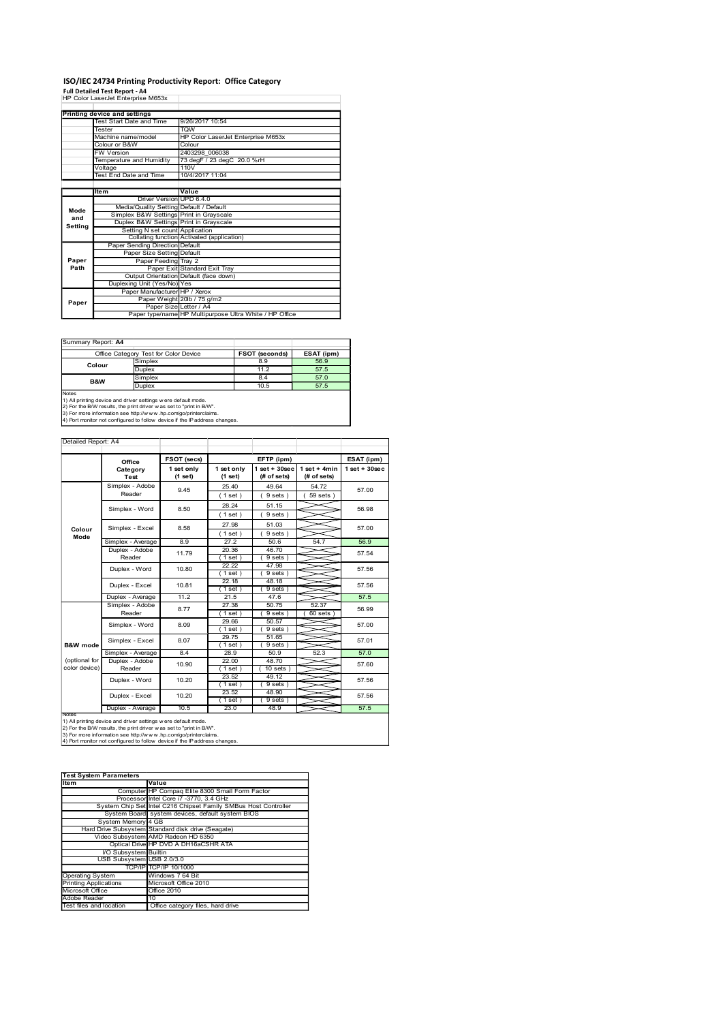## ISO/IEC 24734 Printing Productivity Report: Office Category

|                                                                      | ISO/IEC 24734 Printing Productivity Report: Office Category                                                                                   |                                                    |                       |                                                                                                                |                       |                                                         |                                |                               |
|----------------------------------------------------------------------|-----------------------------------------------------------------------------------------------------------------------------------------------|----------------------------------------------------|-----------------------|----------------------------------------------------------------------------------------------------------------|-----------------------|---------------------------------------------------------|--------------------------------|-------------------------------|
|                                                                      | Full Detailed Test Report - A4<br>HP Color LaserJet Enterprise M653x                                                                          |                                                    |                       |                                                                                                                |                       |                                                         |                                |                               |
|                                                                      | <b>Printing device and settings</b><br>Test Start Date and Time                                                                               |                                                    |                       | 9/26/2017 10:54                                                                                                |                       |                                                         |                                |                               |
|                                                                      | Tester<br>Machine name/model                                                                                                                  |                                                    |                       | TQW                                                                                                            |                       | HP Color LaserJet Enterprise M653x                      |                                |                               |
|                                                                      | Colour or B&W<br><b>FW Version</b>                                                                                                            |                                                    |                       | Colour<br>2403298 006038                                                                                       |                       |                                                         |                                |                               |
|                                                                      | Temperature and Humidity<br>Voltage<br><b>Test End Date and Time</b>                                                                          |                                                    |                       | 73 degF / 23 degC 20.0 %rH<br>110V<br>10/4/2017 11:04                                                          |                       |                                                         |                                |                               |
|                                                                      | ltem                                                                                                                                          |                                                    |                       | Value                                                                                                          |                       |                                                         |                                |                               |
| Mode                                                                 |                                                                                                                                               |                                                    |                       | Driver Version UPD 6.4.0<br>Media/Quality Setting Default / Default<br>Simplex B&W Settings Print in Grayscale |                       |                                                         |                                |                               |
| and<br>Setting                                                       |                                                                                                                                               |                                                    |                       | Duplex B&W Settings Print in Grayscale<br>Setting N set count Application                                      |                       |                                                         |                                |                               |
|                                                                      |                                                                                                                                               | Paper Sending Direction Default                    |                       | Collating function Activated (application)                                                                     |                       |                                                         |                                |                               |
| Paper<br>Path                                                        |                                                                                                                                               | Paper Size Setting Default<br>Paper Feeding Tray 2 |                       | Paper Exit Standard Exit Tray                                                                                  |                       |                                                         |                                |                               |
|                                                                      |                                                                                                                                               | Duplexing Unit (Yes/No) Yes                        |                       | Output Orientation Default (face down)                                                                         |                       |                                                         |                                |                               |
| Paper                                                                |                                                                                                                                               | Paper Manufacturer HP / Xerox                      |                       | Paper Weight 20lb / 75 g/m2<br>Paper Size Letter / A4                                                          |                       |                                                         |                                |                               |
|                                                                      |                                                                                                                                               |                                                    |                       |                                                                                                                |                       | Paper type/name HP Multipurpose Ultra White / HP Office |                                |                               |
|                                                                      | Summary Report: A4                                                                                                                            |                                                    |                       |                                                                                                                |                       |                                                         |                                |                               |
|                                                                      | Office Category Test for Color Device<br>Colour                                                                                               | Simplex                                            |                       |                                                                                                                |                       | FSOT (seconds)<br>8.9                                   | ESAT (ipm)<br>56.9             |                               |
|                                                                      | B&W                                                                                                                                           | Duplex<br>Simplex<br>Duplex                        |                       |                                                                                                                |                       | 11.2<br>8.4<br>10.5                                     | 57.5<br>57.0<br>57.5           |                               |
|                                                                      | 1) All printing device and driver settings w ere default mode.                                                                                |                                                    |                       |                                                                                                                |                       |                                                         |                                |                               |
| Notes                                                                |                                                                                                                                               |                                                    |                       |                                                                                                                |                       |                                                         |                                |                               |
| 2) For the B/W results, the print driver w as set to "print in B/W". | 3) For more information see http://www.hp.com/go/printerclaims.<br>4) Port monitor not configured to follow device if the IP address changes. |                                                    |                       |                                                                                                                |                       |                                                         |                                |                               |
|                                                                      |                                                                                                                                               |                                                    |                       |                                                                                                                |                       |                                                         |                                |                               |
| Detailed Report: A4                                                  |                                                                                                                                               |                                                    | FSOT (secs)           |                                                                                                                |                       | EFTP (ipm)                                              |                                |                               |
|                                                                      | Office<br>Category<br>Test                                                                                                                    |                                                    | 1 set only<br>(1 set) |                                                                                                                | 1 set only<br>(1 set) | $1$ set + $30$ sec<br>(# of sets)                       | $1 set + 4 min$<br>(# of sets) | ESAT (ipm)<br>$1$ set + 30sec |
|                                                                      | Simplex - Adobe<br>Reader                                                                                                                     |                                                    | 9.45                  |                                                                                                                | 25.40<br>(1 set)      | 49.64<br>9 sets)                                        | 54.72<br>$59$ sets $)$         | 57.00                         |
|                                                                      | Simplex - Word                                                                                                                                |                                                    | 8.50                  |                                                                                                                | 28.24<br>(1 set)      | 51.15<br>9 sets)                                        |                                | 56.98                         |

|                                                         | Voltage<br>Test End Date and Time                                                                                                                                                                                                                                                       |                             | 110V<br>10/4/2017 11:04                 |                                                 |                                                         |                           |                    |
|---------------------------------------------------------|-----------------------------------------------------------------------------------------------------------------------------------------------------------------------------------------------------------------------------------------------------------------------------------------|-----------------------------|-----------------------------------------|-------------------------------------------------|---------------------------------------------------------|---------------------------|--------------------|
|                                                         | ltem                                                                                                                                                                                                                                                                                    |                             | Value                                   |                                                 |                                                         |                           |                    |
|                                                         |                                                                                                                                                                                                                                                                                         | <b>Driver Version</b>       | <b>UPD 6.4.0</b>                        |                                                 |                                                         |                           |                    |
| Mode                                                    | Media/Quality Setting<br>Simplex B&W Settings                                                                                                                                                                                                                                           |                             | Default / Default<br>Print in Grayscale |                                                 |                                                         |                           |                    |
| and<br>Setting                                          | Duplex B&W Settings                                                                                                                                                                                                                                                                     |                             | Print in Grayscale                      |                                                 |                                                         |                           |                    |
|                                                         |                                                                                                                                                                                                                                                                                         |                             | Setting N set count Application         | Collating function Activated (application)      |                                                         |                           |                    |
|                                                         | Paper Sending Direction Default                                                                                                                                                                                                                                                         |                             |                                         |                                                 |                                                         |                           |                    |
| Paper                                                   |                                                                                                                                                                                                                                                                                         | Paper Size Setting          | Default                                 |                                                 |                                                         |                           |                    |
| Path                                                    |                                                                                                                                                                                                                                                                                         | Paper Feeding<br>Paper Exit | Tray 2<br>Standard Exit Tray            |                                                 |                                                         |                           |                    |
|                                                         |                                                                                                                                                                                                                                                                                         | Output Orientation          | Default (face down)                     |                                                 |                                                         |                           |                    |
|                                                         | Duplexing Unit (Yes/No) Yes                                                                                                                                                                                                                                                             |                             | Paper Manufacturer HP / Xerox           |                                                 |                                                         |                           |                    |
| Paper                                                   |                                                                                                                                                                                                                                                                                         |                             | Paper Weight 20lb / 75 g/m2             |                                                 |                                                         |                           |                    |
|                                                         |                                                                                                                                                                                                                                                                                         |                             | Paper Size Letter / A4                  |                                                 | Paper type/name HP Multipurpose Ultra White / HP Office |                           |                    |
|                                                         |                                                                                                                                                                                                                                                                                         |                             |                                         |                                                 |                                                         |                           |                    |
|                                                         |                                                                                                                                                                                                                                                                                         |                             |                                         |                                                 |                                                         |                           |                    |
| Summary Report: A4                                      |                                                                                                                                                                                                                                                                                         |                             |                                         |                                                 |                                                         |                           |                    |
|                                                         | Office Category Test for Color Device<br>Simplex                                                                                                                                                                                                                                        |                             |                                         |                                                 | FSOT (seconds)<br>8.9                                   | <b>ESAT (ipm)</b><br>56.9 |                    |
|                                                         | Colour<br>Duplex                                                                                                                                                                                                                                                                        |                             |                                         |                                                 | 11.2                                                    | 57.5                      |                    |
|                                                         | Simplex<br>B&W                                                                                                                                                                                                                                                                          |                             |                                         |                                                 | 8.4                                                     | 57.0                      |                    |
| Notes                                                   | Duplex                                                                                                                                                                                                                                                                                  |                             |                                         |                                                 | 10.5                                                    | 57.5                      |                    |
|                                                         | 1) All printing device and driver settings w ere default mode.<br>2) For the B/W results, the print driver w as set to "print in B/W".<br>3) For more information see http://www.hp.com/go/printerclaims.<br>4) Port monitor not configured to follow device if the IP address changes. |                             |                                         |                                                 |                                                         |                           |                    |
|                                                         |                                                                                                                                                                                                                                                                                         |                             |                                         |                                                 |                                                         |                           |                    |
| Detailed Report: A4                                     |                                                                                                                                                                                                                                                                                         |                             |                                         |                                                 |                                                         |                           |                    |
|                                                         |                                                                                                                                                                                                                                                                                         |                             | FSOT (secs)                             |                                                 | EFTP (ipm)                                              |                           | ESAT (ipm)         |
|                                                         | Office<br>Category                                                                                                                                                                                                                                                                      |                             | 1 set only                              | 1 set only                                      | $1 set + 30 sec$                                        | $1 set + 4 min$           | $1$ set + $30$ sec |
|                                                         | Test                                                                                                                                                                                                                                                                                    |                             | (1 set)                                 | (1 set)                                         | (# of sets)                                             | (# of sets)               |                    |
|                                                         | Simplex - Adobe<br>Reader                                                                                                                                                                                                                                                               |                             | 9.45                                    | 25.40<br>(1 set)                                | 49.64<br>9 sets)                                        | 54.72<br>59 sets          | 57.00              |
|                                                         |                                                                                                                                                                                                                                                                                         |                             |                                         | 28.24                                           | 51.15                                                   |                           |                    |
|                                                         | Simplex - Word                                                                                                                                                                                                                                                                          |                             | 8.50                                    | (1 set)                                         | 9 sets)                                                 |                           | 56.98              |
|                                                         | Simplex - Excel                                                                                                                                                                                                                                                                         |                             | 8.58                                    | 27.98                                           | 51.03                                                   |                           | 57.00              |
| Colour<br>Mode                                          |                                                                                                                                                                                                                                                                                         |                             |                                         | (1 set)                                         | 9 sets)                                                 |                           |                    |
|                                                         | Simplex - Average                                                                                                                                                                                                                                                                       |                             | 8.9                                     | 27.2                                            | 50.6                                                    | 54.7                      | 56.9               |
|                                                         | Duplex - Adobe<br>Reader                                                                                                                                                                                                                                                                |                             | 11.79                                   | 20.36<br>(1 set)                                | 46.70<br>9 sets                                         |                           | 57.54              |
|                                                         |                                                                                                                                                                                                                                                                                         |                             | 10.80                                   | 22.22                                           | 47.98                                                   |                           | 57.56              |
|                                                         | Duplex - Word                                                                                                                                                                                                                                                                           |                             |                                         | (1 set )                                        | 9 sets)                                                 |                           |                    |
|                                                         | Duplex - Excel                                                                                                                                                                                                                                                                          |                             | 10.81                                   | 22.18                                           | 48.18                                                   |                           | 57.56              |
|                                                         | Duplex - Average                                                                                                                                                                                                                                                                        |                             | 11.2                                    | (1 set)<br>21.5                                 | 9 sets<br>47.6                                          |                           | 57.5               |
|                                                         | Simplex - Adobe                                                                                                                                                                                                                                                                         |                             | 8.77                                    | 27.38                                           | 50.75                                                   | 52.37                     | 56.99              |
|                                                         | Reader                                                                                                                                                                                                                                                                                  |                             |                                         | (1 set)                                         | (9 sets)                                                | $60$ sets $)$             |                    |
|                                                         | Simplex - Word                                                                                                                                                                                                                                                                          |                             | 8.09                                    | 29.66<br>(1 set)                                | 50.57<br>9 sets)                                        |                           | 57.00              |
|                                                         | Simplex - Excel                                                                                                                                                                                                                                                                         |                             | 8.07                                    | 29.75                                           | 51.65                                                   |                           | 57.01              |
| <b>B&amp;W</b> mode                                     |                                                                                                                                                                                                                                                                                         |                             |                                         | (1 set)                                         | 9 sets                                                  |                           |                    |
| (optional for                                           | Simplex - Average<br>Duplex - Adobe                                                                                                                                                                                                                                                     |                             | 8.4                                     | 28.9<br>22.00                                   | 50.9<br>48.70                                           | 52.3                      | 57.0               |
| color device)                                           | Reader                                                                                                                                                                                                                                                                                  |                             | 10.90                                   | (1 set)                                         | $10$ sets                                               |                           | 57.60              |
|                                                         | Duplex - Word                                                                                                                                                                                                                                                                           |                             | 10.20                                   | 23.52                                           | 49.12                                                   |                           | 57.56              |
|                                                         |                                                                                                                                                                                                                                                                                         |                             |                                         | (1 set)<br>23.52                                | 9 sets)<br>48.90                                        |                           |                    |
|                                                         | Duplex - Excel                                                                                                                                                                                                                                                                          |                             | 10.20                                   | (1 set)                                         | 9 sets                                                  |                           | 57.56              |
| Note                                                    | Duplex - Average                                                                                                                                                                                                                                                                        |                             | 10.5                                    | 23.0                                            | 48.9                                                    |                           | 57.5               |
|                                                         | 1) All printing device and driver settings w ere default mode.                                                                                                                                                                                                                          |                             |                                         |                                                 |                                                         |                           |                    |
|                                                         | 2) For the B/W results, the print driver w as set to "print in B/W".<br>3) For more information see http://www.hp.com/go/printerclaims.                                                                                                                                                 |                             |                                         |                                                 |                                                         |                           |                    |
|                                                         | 4) Port monitor not configured to follow device if the IP address changes.                                                                                                                                                                                                              |                             |                                         |                                                 |                                                         |                           |                    |
|                                                         |                                                                                                                                                                                                                                                                                         |                             |                                         |                                                 |                                                         |                           |                    |
|                                                         |                                                                                                                                                                                                                                                                                         |                             |                                         |                                                 |                                                         |                           |                    |
|                                                         | <b>Test System Parameters</b>                                                                                                                                                                                                                                                           |                             |                                         |                                                 |                                                         |                           |                    |
| Item                                                    |                                                                                                                                                                                                                                                                                         | Value                       |                                         |                                                 |                                                         |                           |                    |
|                                                         | Processor Intel Core i7 -3770, 3.4 GHz                                                                                                                                                                                                                                                  |                             |                                         | Computer HP Compaq Elite 8300 Small Form Factor |                                                         |                           |                    |
|                                                         | System Chip Set Intel C216 Chipset Family SMBus Host Controller                                                                                                                                                                                                                         |                             |                                         |                                                 |                                                         |                           |                    |
|                                                         | System Board<br>System Memory 4 GB                                                                                                                                                                                                                                                      |                             |                                         | system devices, default system BIOS             |                                                         |                           |                    |
|                                                         | Hard Drive Subsystem Standard disk drive (Seagate)                                                                                                                                                                                                                                      |                             |                                         |                                                 |                                                         |                           |                    |
|                                                         | Video Subsystem AMD Radeon HD 6350                                                                                                                                                                                                                                                      |                             |                                         |                                                 |                                                         |                           |                    |
|                                                         | Optical Drive HP DVD A DH16aCSHR ATA<br>I/O Subsystem Builtin                                                                                                                                                                                                                           |                             |                                         |                                                 |                                                         |                           |                    |
|                                                         | USB Subsystem USB 2.0/3.0                                                                                                                                                                                                                                                               |                             |                                         |                                                 |                                                         |                           |                    |
|                                                         |                                                                                                                                                                                                                                                                                         | TCP/IP TCP/IP 10/1000       |                                         |                                                 |                                                         |                           |                    |
| <b>Operating System</b><br><b>Printing Applications</b> |                                                                                                                                                                                                                                                                                         | Windows 7 64 Bit            | Microsoft Office 2010                   |                                                 |                                                         |                           |                    |
| Microsoft Office                                        |                                                                                                                                                                                                                                                                                         | Office 2010                 |                                         |                                                 |                                                         |                           |                    |
| Adobe Reader<br>Test files and location                 |                                                                                                                                                                                                                                                                                         | 10                          | Office category files, hard drive       |                                                 |                                                         |                           |                    |
|                                                         |                                                                                                                                                                                                                                                                                         |                             |                                         |                                                 |                                                         |                           |                    |
|                                                         |                                                                                                                                                                                                                                                                                         |                             |                                         |                                                 |                                                         |                           |                    |
|                                                         |                                                                                                                                                                                                                                                                                         |                             |                                         |                                                 |                                                         |                           |                    |
|                                                         |                                                                                                                                                                                                                                                                                         |                             |                                         |                                                 |                                                         |                           |                    |
|                                                         |                                                                                                                                                                                                                                                                                         |                             |                                         |                                                 |                                                         |                           |                    |
|                                                         |                                                                                                                                                                                                                                                                                         |                             |                                         |                                                 |                                                         |                           |                    |
|                                                         |                                                                                                                                                                                                                                                                                         |                             |                                         |                                                 |                                                         |                           |                    |

| <b>Test System Parameters</b> |                                                                 |
|-------------------------------|-----------------------------------------------------------------|
| Item                          | Value                                                           |
|                               | Computer HP Compaq Elite 8300 Small Form Factor                 |
|                               | Processor Intel Core i7 -3770, 3.4 GHz                          |
|                               | System Chip Set Intel C216 Chipset Family SMBus Host Controller |
|                               | System Board system devices, default system BIOS                |
| System Memory 4 GB            |                                                                 |
|                               | Hard Drive Subsystem Standard disk drive (Seagate)              |
|                               | Video Subsystem AMD Radeon HD 6350                              |
|                               | Optical Drive HP DVD A DH16aCSHR ATA                            |
| <b>VO Subsystem Builtin</b>   |                                                                 |
| USB Subsystem USB 2.0/3.0     |                                                                 |
|                               | TCP/IP TCP/IP 10/1000                                           |
| <b>Operating System</b>       | Windows 7 64 Bit                                                |
| <b>Printing Applications</b>  | Microsoft Office 2010                                           |
| Microsoft Office              | Office 2010                                                     |
| Adobe Reader                  | 10                                                              |
| Test files and location       | Office category files, hard drive                               |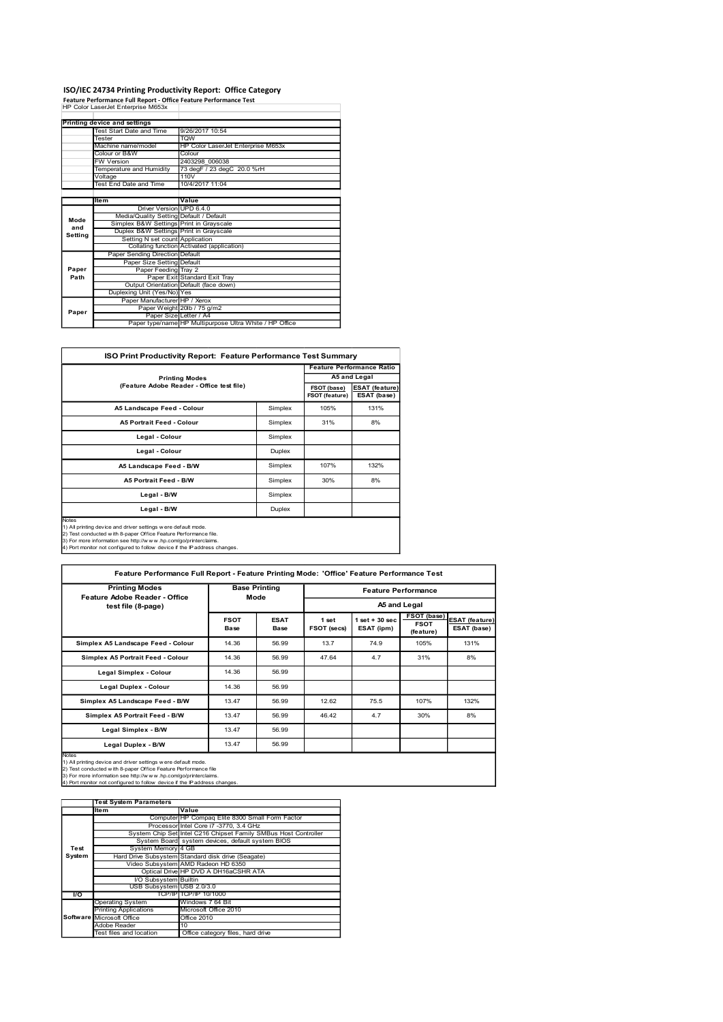### ISO/IEC 24734 Printing Productivity Report: Office Category

|               |                                                                                                         | ISO/IEC 24734 Printing Productivity Report: Office Category        |             |                                       |
|---------------|---------------------------------------------------------------------------------------------------------|--------------------------------------------------------------------|-------------|---------------------------------------|
|               | Feature Performance Full Report - Office Feature Performance Test<br>HP Color LaserJet Enterprise M653x |                                                                    |             |                                       |
|               | Printing device and settings                                                                            |                                                                    |             |                                       |
|               | Test Start Date and Time                                                                                | 9/26/2017 10:54                                                    |             |                                       |
|               | Tester<br>Machine name/model                                                                            | TQW<br>HP Color LaserJet Enterprise M653x                          |             |                                       |
|               | Colour or B&W                                                                                           | Colour                                                             |             |                                       |
|               |                                                                                                         |                                                                    |             |                                       |
|               | FW Version                                                                                              | 2403298 006038                                                     |             |                                       |
|               | Temperature and Humidity<br>Voltage                                                                     | 73 degF / 23 degC 20.0 %rH<br>110V                                 |             |                                       |
|               | <b>Test End Date and Time</b>                                                                           | 10/4/2017 11:04                                                    |             |                                       |
|               | Item                                                                                                    | Value                                                              |             |                                       |
|               | Driver Version UPD 6.4.0<br>Media/Quality Setting Default / Default                                     |                                                                    |             |                                       |
| Mode<br>and   | Simplex B&W Settings Print in Grayscale<br>Duplex B&W Settings Print in Grayscale                       |                                                                    |             |                                       |
| Setting       | Setting N set count Application                                                                         |                                                                    |             |                                       |
|               | Paper Sending Direction Default                                                                         | Collating function Activated (application)                         |             |                                       |
|               | Paper Size Setting Default                                                                              |                                                                    |             |                                       |
| Paper<br>Path | Paper Feeding Tray 2                                                                                    | Paper Exit Standard Exit Tray                                      |             |                                       |
|               |                                                                                                         | Output Orientation Default (face down)                             |             |                                       |
|               | Duplexing Unit (Yes/No) Yes<br>Paper Manufacturer HP / Xerox                                            |                                                                    |             |                                       |
| Paper         |                                                                                                         | Paper Weight 20lb / 75 g/m2                                        |             |                                       |
|               | Paper Size Letter / A4                                                                                  | Paper type/name HP Multipurpose Ultra White / HP Office            |             |                                       |
|               |                                                                                                         |                                                                    |             |                                       |
|               |                                                                                                         | ISO Print Productivity Report: Feature Performance Test Summary    |             |                                       |
|               |                                                                                                         |                                                                    |             | <b>Feature Performance Ratio</b>      |
|               |                                                                                                         | <b>Printing Modes</b><br>(Feature Adobe Reader - Office test file) | FSOT (base) | A5 and Legal<br><b>ESAT (feature)</b> |

|         | ISO/IEC 24734 Printing Productivity Report: Office Category                                                                                                                                                                                                                        |                                    |                      |         |                                      |                                      |                            |  |
|---------|------------------------------------------------------------------------------------------------------------------------------------------------------------------------------------------------------------------------------------------------------------------------------------|------------------------------------|----------------------|---------|--------------------------------------|--------------------------------------|----------------------------|--|
|         | Feature Performance Full Report - Office Feature Performance Test<br>HP Color LaserJet Enterprise M653x                                                                                                                                                                            |                                    |                      |         |                                      |                                      |                            |  |
|         |                                                                                                                                                                                                                                                                                    |                                    |                      |         |                                      |                                      |                            |  |
|         | <b>Printing device and settings</b>                                                                                                                                                                                                                                                |                                    |                      |         |                                      |                                      |                            |  |
|         | Test Start Date and Time<br>Tester                                                                                                                                                                                                                                                 | 9/26/2017 10:54<br><b>TQW</b>      |                      |         |                                      |                                      |                            |  |
|         | Machine name/model                                                                                                                                                                                                                                                                 | HP Color LaserJet Enterprise M653x |                      |         |                                      |                                      |                            |  |
|         | Colour or B&W                                                                                                                                                                                                                                                                      | Colour                             |                      |         |                                      |                                      |                            |  |
|         | FW Version                                                                                                                                                                                                                                                                         | 2403298 006038                     |                      |         |                                      |                                      |                            |  |
|         | <b>Femperature and Humidity</b>                                                                                                                                                                                                                                                    | 73 degF / 23 degC 20.0 %rH<br>110V |                      |         |                                      |                                      |                            |  |
|         | Voltage<br>Test End Date and Time                                                                                                                                                                                                                                                  | 10/4/2017 11:04                    |                      |         |                                      |                                      |                            |  |
|         |                                                                                                                                                                                                                                                                                    |                                    |                      |         |                                      |                                      |                            |  |
|         | ltem                                                                                                                                                                                                                                                                               | Value                              |                      |         |                                      |                                      |                            |  |
|         | Driver Version UPD 6.4.0                                                                                                                                                                                                                                                           |                                    |                      |         |                                      |                                      |                            |  |
| Mode    | Media/Quality Setting<br>Simplex B&W Settings                                                                                                                                                                                                                                      | Default / Default                  |                      |         |                                      |                                      |                            |  |
| and     | Duplex B&W Settings Print in Grayscale                                                                                                                                                                                                                                             | Print in Grayscale                 |                      |         |                                      |                                      |                            |  |
| Setting | Setting N set count Application                                                                                                                                                                                                                                                    |                                    |                      |         |                                      |                                      |                            |  |
|         | Collating function Activated (application)                                                                                                                                                                                                                                         |                                    |                      |         |                                      |                                      |                            |  |
|         | Paper Sending Direction Default                                                                                                                                                                                                                                                    |                                    |                      |         |                                      |                                      |                            |  |
| Paper   | Paper Size Setting Default<br>Paper Feeding Tray 2                                                                                                                                                                                                                                 |                                    |                      |         |                                      |                                      |                            |  |
| Path    |                                                                                                                                                                                                                                                                                    | Paper Exit Standard Exit Tray      |                      |         |                                      |                                      |                            |  |
|         | Output Orientation Default (face down)                                                                                                                                                                                                                                             |                                    |                      |         |                                      |                                      |                            |  |
|         | Duplexing Unit (Yes/No) Yes                                                                                                                                                                                                                                                        |                                    |                      |         |                                      |                                      |                            |  |
|         | Paper Manufacturer HP / Xerox<br>Paper Weight                                                                                                                                                                                                                                      | 20lb / 75 g/m2                     |                      |         |                                      |                                      |                            |  |
| Paper   | Paper Size Letter / A4                                                                                                                                                                                                                                                             |                                    |                      |         |                                      |                                      |                            |  |
|         | Paper type/name HP Multipurpose Ultra White / HP Office                                                                                                                                                                                                                            |                                    |                      |         |                                      |                                      |                            |  |
|         |                                                                                                                                                                                                                                                                                    |                                    |                      |         |                                      |                                      |                            |  |
|         | ISO Print Productivity Report: Feature Performance Test Summary                                                                                                                                                                                                                    |                                    |                      |         |                                      |                                      |                            |  |
|         |                                                                                                                                                                                                                                                                                    |                                    |                      |         |                                      |                                      |                            |  |
|         |                                                                                                                                                                                                                                                                                    |                                    |                      |         |                                      | <b>Feature Performance Ratio</b>     |                            |  |
|         |                                                                                                                                                                                                                                                                                    | <b>Printing Modes</b>              |                      |         |                                      | A5 and Legal                         |                            |  |
|         | (Feature Adobe Reader - Office test file)                                                                                                                                                                                                                                          |                                    |                      |         | FSOT (base)<br><b>FSOT (feature)</b> | <b>ESAT (feature)</b><br>ESAT (base) |                            |  |
|         | A5 Landscape Feed - Colour                                                                                                                                                                                                                                                         |                                    |                      | Simplex | 105%                                 | 131%                                 |                            |  |
|         | A5 Portrait Feed - Colour                                                                                                                                                                                                                                                          |                                    |                      | Simplex | 31%                                  | 8%                                   |                            |  |
|         | Legal - Colour                                                                                                                                                                                                                                                                     |                                    |                      | Simplex |                                      |                                      |                            |  |
|         | Legal - Colour                                                                                                                                                                                                                                                                     |                                    |                      | Duplex  |                                      |                                      |                            |  |
|         | A5 Landscape Feed - B/W                                                                                                                                                                                                                                                            |                                    |                      | Simplex | 107%                                 | 132%                                 |                            |  |
|         | A5 Portrait Feed - B/W                                                                                                                                                                                                                                                             |                                    |                      | Simplex | 30%                                  | 8%                                   |                            |  |
|         | Legal - B/W                                                                                                                                                                                                                                                                        |                                    |                      | Simplex |                                      |                                      |                            |  |
|         | Legal - B/W                                                                                                                                                                                                                                                                        |                                    |                      | Duplex  |                                      |                                      |                            |  |
| Notes   | 1) All printing device and driver settings w ere default mode.<br>2) Test conducted with 8-paper Office Feature Performance file.<br>3) For more information see http://www.hp.com/go/printerclaims.<br>4) Port monitor not configured to follow device if the IP address changes. |                                    |                      |         |                                      |                                      |                            |  |
|         | Feature Performance Full Report - Feature Printing Mode: 'Office' Feature Performance Test                                                                                                                                                                                         |                                    |                      |         |                                      |                                      |                            |  |
|         | <b>Printing Modes</b>                                                                                                                                                                                                                                                              |                                    | <b>Base Printing</b> |         |                                      | <b>Feature Performance</b>           |                            |  |
|         | Feature Adobe Reader - Office<br>test file (8-page)                                                                                                                                                                                                                                |                                    | Mode                 |         |                                      | A5 and Legal                         | FSOT (base) ESAT (feature) |  |

|                | r apertype/ilanie in multipulpose onla writte / Tir Ollice                                                                                    |                       |                                                  |             |                |                                       |                          |                               |
|----------------|-----------------------------------------------------------------------------------------------------------------------------------------------|-----------------------|--------------------------------------------------|-------------|----------------|---------------------------------------|--------------------------|-------------------------------|
|                |                                                                                                                                               |                       |                                                  |             |                |                                       |                          |                               |
|                | ISO Print Productivity Report: Feature Performance Test Summary                                                                               |                       |                                                  |             |                |                                       |                          |                               |
|                |                                                                                                                                               |                       |                                                  |             |                | <b>Feature Performance Ratio</b>      |                          |                               |
|                | (Feature Adobe Reader - Office test file)                                                                                                     | <b>Printing Modes</b> |                                                  |             | FSOT (base)    | A5 and Legal<br><b>ESAT</b> (feature) |                          |                               |
|                |                                                                                                                                               |                       |                                                  |             | FSOT (feature) | ESAT (base)                           |                          |                               |
|                | A5 Landscape Feed - Colour                                                                                                                    |                       |                                                  | Simplex     | 105%           | 131%                                  |                          |                               |
|                | A5 Portrait Feed - Colour                                                                                                                     |                       |                                                  | Simplex     | 31%            | 8%                                    |                          |                               |
|                | Legal - Colour                                                                                                                                |                       |                                                  | Simplex     |                |                                       |                          |                               |
|                | Legal - Colour                                                                                                                                |                       |                                                  | Duplex      |                |                                       |                          |                               |
|                | A5 Landscape Feed - B/W                                                                                                                       |                       |                                                  | Simplex     | 107%           | 132%                                  |                          |                               |
|                | A5 Portrait Feed - B/W                                                                                                                        |                       |                                                  | Simplex     | 30%            | 8%                                    |                          |                               |
|                | Legal - B/W                                                                                                                                   |                       |                                                  | Simplex     |                |                                       |                          |                               |
| Notes          | Legal - B/W                                                                                                                                   |                       |                                                  | Duplex      |                |                                       |                          |                               |
|                | 1) All printing device and driver settings w ere default mode.<br>2) Test conducted with 8-paper Office Feature Performance file.             |                       |                                                  |             |                |                                       |                          |                               |
|                | 3) For more information see http://www.hp.com/go/printerclaims.<br>4) Port monitor not configured to follow device if the IP address changes. |                       |                                                  |             |                |                                       |                          |                               |
|                |                                                                                                                                               |                       |                                                  |             |                |                                       |                          |                               |
|                | Feature Performance Full Report - Feature Printing Mode: 'Office' Feature Performance Test                                                    |                       |                                                  |             |                |                                       |                          |                               |
|                | <b>Printing Modes</b>                                                                                                                         |                       | <b>Base Printing</b>                             |             |                | <b>Feature Performance</b>            |                          |                               |
|                | Feature Adobe Reader - Office                                                                                                                 |                       | Mode                                             |             |                | A5 and Legal                          |                          |                               |
|                | test file (8-page)                                                                                                                            |                       | <b>FSOT</b>                                      | <b>ESAT</b> | 1 set          |                                       | FSOT (base)              |                               |
|                |                                                                                                                                               |                       | <b>Base</b>                                      | Base        | FSOT (secs)    | $1 set + 30 sec$<br>ESAT (ipm)        | <b>FSOT</b><br>(feature) | ESAT (feature)<br>ESAT (base) |
|                | Simplex A5 Landscape Feed - Colour                                                                                                            |                       | 14.36                                            | 56.99       | 13.7           | 74.9                                  | 105%                     | 131%                          |
|                | Simplex A5 Portrait Feed - Colour                                                                                                             |                       | 14.36                                            | 56.99       | 47.64          | 4.7                                   | 31%                      | 8%                            |
|                | Legal Simplex - Colour                                                                                                                        |                       | 14.36                                            | 56.99       |                |                                       |                          |                               |
|                | Legal Duplex - Colour                                                                                                                         |                       | 14.36                                            | 56.99       |                |                                       |                          |                               |
|                | Simplex A5 Landscape Feed - B/W                                                                                                               |                       | 13.47                                            | 56.99       | 12.62          | 75.5                                  | 107%                     | 132%                          |
|                | Simplex A5 Portrait Feed - B/W                                                                                                                |                       | 13.47                                            | 56.99       | 46.42          | 4.7                                   | 30%                      | 8%                            |
|                | Legal Simplex - B/W                                                                                                                           |                       | 13.47                                            | 56.99       |                |                                       |                          |                               |
|                | Legal Duplex - B/W                                                                                                                            |                       | 13.47                                            | 56.99       |                |                                       |                          |                               |
| Notes          | 1) All printing device and driver settings w ere default mode.                                                                                |                       |                                                  |             |                |                                       |                          |                               |
|                | 2) Test conducted with 8-paper Office Feature Performance file<br>3) For more information see http://www.hp.com/go/printerclaims.             |                       |                                                  |             |                |                                       |                          |                               |
|                | 4) Port monitor not configured to follow device if the IP address changes.                                                                    |                       |                                                  |             |                |                                       |                          |                               |
|                | <b>Test System Parameters</b>                                                                                                                 |                       |                                                  |             |                |                                       |                          |                               |
|                | Item                                                                                                                                          | Value                 | Computer HP Compaq Elite 8300 Small Form Factor  |             |                |                                       |                          |                               |
|                |                                                                                                                                               |                       | Processor Intel Core i7 -3770, 3.4 GHz           |             |                |                                       |                          |                               |
|                | System Chip Set Intel C216 Chipset Family SMBus Host Controller                                                                               |                       | System Board system devices, default system BIOS |             |                |                                       |                          |                               |
| Test<br>System | System Memory 4 GB<br>Hard Drive Subsystem Standard disk drive (Seagate)                                                                      |                       |                                                  |             |                |                                       |                          |                               |
|                | Video Subsystem AMD Radeon HD 6350                                                                                                            |                       | Optical Drive HP DVD A DH16aCSHR ATA             |             |                |                                       |                          |                               |
|                | I/O Subsystem Builtin                                                                                                                         |                       |                                                  |             |                |                                       |                          |                               |
| <b>I</b> o     | USB Subsystem USB 2.0/3.0                                                                                                                     | TCP/IP TCP/IP 10/1000 |                                                  |             |                |                                       |                          |                               |
|                | Operating System<br><b>Printing Applications</b>                                                                                              | Windows 7 64 Bit      | Microsoft Office 2010                            |             |                |                                       |                          |                               |
|                | Software Microsoft Office                                                                                                                     | Office 2010           |                                                  |             |                |                                       |                          |                               |
|                | Adobe Reader<br>Test files and location                                                                                                       | 10                    | Office category files, hard drive                |             |                |                                       |                          |                               |
|                |                                                                                                                                               |                       |                                                  |             |                |                                       |                          |                               |
|                |                                                                                                                                               |                       |                                                  |             |                |                                       |                          |                               |
|                |                                                                                                                                               |                       |                                                  |             |                |                                       |                          |                               |
|                |                                                                                                                                               |                       |                                                  |             |                |                                       |                          |                               |
|                |                                                                                                                                               |                       |                                                  |             |                |                                       |                          |                               |
|                |                                                                                                                                               |                       |                                                  |             |                |                                       |                          |                               |

|                | <b>Test System Parameters</b> |                                                                 |
|----------------|-------------------------------|-----------------------------------------------------------------|
|                | Item                          | Value                                                           |
|                |                               | Computer HP Compaq Elite 8300 Small Form Factor                 |
|                |                               | Processor Intel Core i7 -3770, 3.4 GHz                          |
|                |                               | System Chip Set Intel C216 Chipset Family SMBus Host Controller |
|                |                               | System Board system devices, default system BIOS                |
| Test           | System Memory 4 GB            |                                                                 |
| System         |                               | Hard Drive Subsystem Standard disk drive (Seagate)              |
|                |                               | Video Subsystem AMD Radeon HD 6350                              |
|                |                               | Optical Drive HP DVD A DH16aCSHR ATA                            |
|                | I/O Subsystem Builtin         |                                                                 |
|                | USB Subsystem USB 2.0/3.0     |                                                                 |
| $\overline{U}$ |                               | TCP/IPITCP/IP 10/1000                                           |
|                | <b>Operating System</b>       | Windows 7 64 Bit                                                |
|                | <b>Printing Applications</b>  | Microsoft Office 2010                                           |
|                | Software Microsoft Office     | Office 2010                                                     |
|                | Adobe Reader                  | 10                                                              |
|                | Test files and location       | Office category files hard drive                                |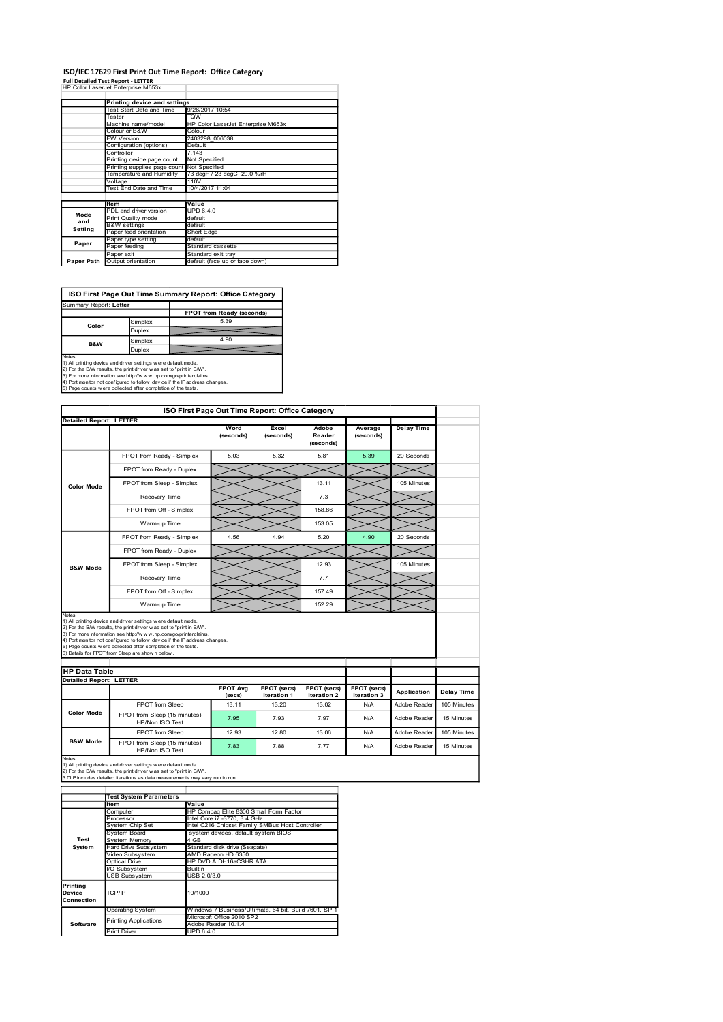#### ISO/IEC 17629 First Print Out Time Report: Office Category

|                                                                                                                                                                                                                                     |                                                          | ISO/IEC 17629 First Print Out Time Report: Office Category |         |                    |                                                      |                                                 |                              |                      |                   |  |
|-------------------------------------------------------------------------------------------------------------------------------------------------------------------------------------------------------------------------------------|----------------------------------------------------------|------------------------------------------------------------|---------|--------------------|------------------------------------------------------|-------------------------------------------------|------------------------------|----------------------|-------------------|--|
| <b>Full Detailed Test Report - LETTER</b>                                                                                                                                                                                           |                                                          |                                                            |         |                    |                                                      |                                                 |                              |                      |                   |  |
| HP Color LaserJet Enterprise M653x                                                                                                                                                                                                  |                                                          |                                                            |         |                    |                                                      |                                                 |                              |                      |                   |  |
|                                                                                                                                                                                                                                     | Printing device and settings<br>Test Start Date and Time |                                                            |         |                    | 9/26/2017 10:54                                      |                                                 |                              |                      |                   |  |
|                                                                                                                                                                                                                                     | Tester                                                   | Machine name/model                                         | TQW     |                    | HP Color LaserJet Enterprise M653x                   |                                                 |                              |                      |                   |  |
|                                                                                                                                                                                                                                     |                                                          | Colour or B&W                                              |         | Colour             | 2403298 006038                                       |                                                 |                              |                      |                   |  |
|                                                                                                                                                                                                                                     | W Version                                                | Configuration (options)                                    |         | Default            |                                                      |                                                 |                              |                      |                   |  |
|                                                                                                                                                                                                                                     | Controller                                               | Printing device page count                                 | 7.143   | Not Specified      |                                                      |                                                 |                              |                      |                   |  |
|                                                                                                                                                                                                                                     |                                                          | Printing supplies page count                               |         | Not Specified      |                                                      |                                                 |                              |                      |                   |  |
|                                                                                                                                                                                                                                     | Voltage                                                  | Temperature and Humidity                                   | 110V    |                    | 73 degF / 23 degC 20.0 %rH                           |                                                 |                              |                      |                   |  |
|                                                                                                                                                                                                                                     |                                                          | Test End Date and Time                                     |         | 10/4/2017 11:04    |                                                      |                                                 |                              |                      |                   |  |
|                                                                                                                                                                                                                                     | Item                                                     | PDL and driver version                                     | Value   | <b>UPD 6.4.0</b>   |                                                      |                                                 |                              |                      |                   |  |
| Mode<br>and                                                                                                                                                                                                                         | <b>B&amp;W</b> settings                                  | Print Quality mode                                         |         | default<br>default |                                                      |                                                 |                              |                      |                   |  |
| <b>Setting</b>                                                                                                                                                                                                                      |                                                          | Paper feed orientation                                     |         | Short Edge         |                                                      |                                                 |                              |                      |                   |  |
| Paper                                                                                                                                                                                                                               | Paper feeding                                            | Paper type setting                                         | default |                    | Standard cassette                                    |                                                 |                              |                      |                   |  |
| Paper Path                                                                                                                                                                                                                          | Paper exit                                               | Output orientation                                         |         |                    | Standard exit tray<br>default (face up or face down) |                                                 |                              |                      |                   |  |
|                                                                                                                                                                                                                                     |                                                          |                                                            |         |                    |                                                      |                                                 |                              |                      |                   |  |
|                                                                                                                                                                                                                                     |                                                          |                                                            |         |                    |                                                      |                                                 |                              |                      |                   |  |
| Summary Report: Letter                                                                                                                                                                                                              |                                                          | ISO First Page Out Time Summary Report: Office Category    |         |                    |                                                      |                                                 |                              |                      |                   |  |
|                                                                                                                                                                                                                                     |                                                          |                                                            |         |                    | FPOT from Ready (seconds)                            |                                                 |                              |                      |                   |  |
| Color                                                                                                                                                                                                                               |                                                          | Simplex<br>Duplex                                          |         |                    | 5.39                                                 |                                                 |                              |                      |                   |  |
| B&W                                                                                                                                                                                                                                 |                                                          | Simplex                                                    |         |                    | 4.90                                                 |                                                 |                              |                      |                   |  |
|                                                                                                                                                                                                                                     |                                                          | Duplex                                                     |         |                    |                                                      |                                                 |                              |                      |                   |  |
| Notes<br>1) All printing device and driver settings were default mode.                                                                                                                                                              |                                                          |                                                            |         |                    |                                                      |                                                 |                              |                      |                   |  |
| 1) All primary advoca and ontwist surface and the SV control and the SV.<br>2) For the BW results, the print driver was set to "print in BW".<br>3) For the BW results, the print driver was set to "print in BW".<br>4) Por more i |                                                          |                                                            |         |                    |                                                      |                                                 |                              |                      |                   |  |
|                                                                                                                                                                                                                                     |                                                          |                                                            |         |                    |                                                      |                                                 |                              |                      |                   |  |
|                                                                                                                                                                                                                                     |                                                          |                                                            |         |                    |                                                      | ISO First Page Out Time Report: Office Category |                              |                      |                   |  |
| <b>Detailed Report: LETTER</b>                                                                                                                                                                                                      |                                                          |                                                            |         |                    |                                                      |                                                 |                              |                      |                   |  |
|                                                                                                                                                                                                                                     |                                                          |                                                            |         |                    | Word<br>(seconds)                                    | Excel<br>(seconds)                              | Adobe<br>Reader<br>(seconds) | Average<br>(seconds) | <b>Delay Time</b> |  |
|                                                                                                                                                                                                                                     | FPOT from Ready - Simplex                                |                                                            |         |                    | 5.03                                                 | 5.32                                            |                              | 5.39                 | 20 Seconds        |  |
|                                                                                                                                                                                                                                     |                                                          |                                                            |         |                    |                                                      |                                                 | 5.81                         |                      |                   |  |

## ISO First Page Out Time Summary Report: Office Category

| Summary Report: Letter   |               |                           |
|--------------------------|---------------|---------------------------|
|                          |               | FPOT from Ready (seconds) |
| Color                    | Simplex       | 5.39                      |
|                          | <b>Duplex</b> |                           |
| <b>B&amp;W</b>           | Simplex       | 4.90                      |
|                          | <b>Duplex</b> |                           |
| $\overline{\phantom{a}}$ |               |                           |

|                                | W Version                                                                                                                                                                                                      | 2403298_006038               |                                                     |                                                       |                            |                                   |                   |                   |
|--------------------------------|----------------------------------------------------------------------------------------------------------------------------------------------------------------------------------------------------------------|------------------------------|-----------------------------------------------------|-------------------------------------------------------|----------------------------|-----------------------------------|-------------------|-------------------|
|                                | Configuration (options)<br>Controller                                                                                                                                                                          | Default<br>7.143             |                                                     |                                                       |                            |                                   |                   |                   |
|                                | Printing device page count                                                                                                                                                                                     | Not Specified                |                                                     |                                                       |                            |                                   |                   |                   |
|                                | Printing supplies page count Not Specified<br><b>Femperature and Humidity</b>                                                                                                                                  |                              | 73 degF / 23 degC 20.0 %rH                          |                                                       |                            |                                   |                   |                   |
|                                | Voltage<br>Test End Date and Time                                                                                                                                                                              | 110V<br>10/4/2017 11:04      |                                                     |                                                       |                            |                                   |                   |                   |
|                                |                                                                                                                                                                                                                |                              |                                                     |                                                       |                            |                                   |                   |                   |
| Mode                           | Item<br>PDL and driver version                                                                                                                                                                                 | Value<br><b>UPD 6.4.0</b>    |                                                     |                                                       |                            |                                   |                   |                   |
| and                            | Print Quality mode<br><b>B&amp;W</b> settings                                                                                                                                                                  | default<br>default           |                                                     |                                                       |                            |                                   |                   |                   |
| Setting                        | Paper feed orientation                                                                                                                                                                                         | Short Edge                   |                                                     |                                                       |                            |                                   |                   |                   |
| Paper                          | aper type setting<br>Paper feeding                                                                                                                                                                             | default<br>Standard cassette |                                                     |                                                       |                            |                                   |                   |                   |
|                                | Paper exit<br>Paper Path Output orientation                                                                                                                                                                    | Standard exit tray           | default (face up or face down)                      |                                                       |                            |                                   |                   |                   |
|                                |                                                                                                                                                                                                                |                              |                                                     |                                                       |                            |                                   |                   |                   |
| Summary Report: Letter         | ISO First Page Out Time Summary Report: Office Category                                                                                                                                                        |                              | FPOT from Ready (seconds)<br>5.39                   |                                                       |                            |                                   |                   |                   |
| Color                          | Simplex<br>Duplex                                                                                                                                                                                              |                              | 4.90                                                |                                                       |                            |                                   |                   |                   |
| B&W                            | Simplex<br>Duplex                                                                                                                                                                                              |                              |                                                     |                                                       |                            |                                   |                   |                   |
| Notes                          | 1) All printing device and driver settings were default mode.                                                                                                                                                  |                              |                                                     |                                                       |                            |                                   |                   |                   |
|                                | 2) For the B/W results, the print driver was set to "print in B/W".                                                                                                                                            |                              |                                                     |                                                       |                            |                                   |                   |                   |
|                                | 3) For more information see http://www.hp.com/go/printerclaims.<br>4) Port monitor not configured to follow device if the IP address changes.<br>5) Page counts w ere collected after completion of the tests. |                              |                                                     |                                                       |                            |                                   |                   |                   |
|                                |                                                                                                                                                                                                                |                              |                                                     | ISO First Page Out Time Report: Office Category       |                            |                                   |                   |                   |
| <b>Detailed Report: LETTER</b> |                                                                                                                                                                                                                |                              | Word                                                | Excel                                                 | Adobe                      | Average                           | <b>Delay Time</b> |                   |
|                                |                                                                                                                                                                                                                |                              | (seconds)                                           | (seconds)                                             | Reader<br>(seconds)        | (seconds)                         |                   |                   |
|                                |                                                                                                                                                                                                                |                              |                                                     |                                                       |                            |                                   |                   |                   |
|                                | FPOT from Ready - Simplex                                                                                                                                                                                      |                              | 5.03                                                | 5.32                                                  | 5.81                       | 5.39                              | 20 Seconds        |                   |
|                                | FPOT from Ready - Duplex                                                                                                                                                                                       |                              |                                                     |                                                       |                            |                                   |                   |                   |
| <b>Color Mode</b>              | FPOT from Sleep - Simplex                                                                                                                                                                                      |                              |                                                     |                                                       | 13.11                      |                                   | 105 Minutes       |                   |
|                                | Recovery Time                                                                                                                                                                                                  |                              |                                                     |                                                       | 7.3                        |                                   |                   |                   |
|                                | FPOT from Off - Simplex                                                                                                                                                                                        |                              |                                                     |                                                       | 158.86                     |                                   |                   |                   |
|                                | Warm-up Time                                                                                                                                                                                                   |                              |                                                     |                                                       | 153.05                     |                                   |                   |                   |
|                                |                                                                                                                                                                                                                |                              |                                                     |                                                       |                            |                                   |                   |                   |
|                                | FPOT from Ready - Simplex                                                                                                                                                                                      |                              | 4.56                                                | 4.94                                                  | 5.20                       | 4.90                              | 20 Seconds        |                   |
| <b>B&amp;W Mode</b>            | FPOT from Ready - Duplex                                                                                                                                                                                       |                              |                                                     |                                                       |                            |                                   |                   |                   |
|                                | FPOT from Sleep - Simplex                                                                                                                                                                                      |                              |                                                     |                                                       | 12.93                      |                                   | 105 Minutes       |                   |
|                                | Recovery Time                                                                                                                                                                                                  |                              |                                                     |                                                       | 7.7                        |                                   |                   |                   |
|                                | FPOT from Off - Simplex                                                                                                                                                                                        |                              |                                                     |                                                       | 157.49                     |                                   |                   |                   |
|                                |                                                                                                                                                                                                                |                              |                                                     |                                                       |                            |                                   |                   |                   |
| Notes                          | Warm-up Time                                                                                                                                                                                                   |                              |                                                     |                                                       | 152.29                     |                                   |                   |                   |
|                                | 1) All printing device and driver settings were default mode.<br>2) For the B/W results, the print driver w as set to "print in B/W".                                                                          |                              |                                                     |                                                       |                            |                                   |                   |                   |
|                                | 3) For more information see http://www.hp.com/go/printerclaims.                                                                                                                                                |                              |                                                     |                                                       |                            |                                   |                   |                   |
|                                | 4) Port monitor not configured to follow device if the IP address changes.<br>5) Page counts w ere collected after completion of the tests.                                                                    |                              |                                                     |                                                       |                            |                                   |                   |                   |
|                                | 6) Details for FPOT from Sleep are shown below.                                                                                                                                                                |                              |                                                     |                                                       |                            |                                   |                   |                   |
| <b>HP Data Table</b>           |                                                                                                                                                                                                                |                              |                                                     |                                                       |                            |                                   |                   |                   |
| Detailed Report: LETTER        |                                                                                                                                                                                                                |                              |                                                     |                                                       |                            |                                   |                   |                   |
|                                |                                                                                                                                                                                                                |                              | <b>FPOT Avg</b><br>(secs)                           | FPOT (secs)<br>Iteration 1                            | FPOT (secs)<br>Iteration 2 | <b>FPOT</b> (secs)<br>Iteration 3 | Application       | <b>Delay Time</b> |
|                                | FPOT from Sleep                                                                                                                                                                                                |                              | 13.11                                               | 13.20                                                 | 13.02                      | <b>N/A</b>                        | Adobe Reader      | 105 Minutes       |
| <b>Color Mode</b>              | FPOT from Sleep (15 minutes)                                                                                                                                                                                   |                              | 7.95                                                | 7.93                                                  | 7.97                       | N/A                               | Adobe Reader      | 15 Minutes        |
|                                | HP/Non ISO Test                                                                                                                                                                                                |                              |                                                     |                                                       |                            |                                   |                   |                   |
| <b>B&amp;W Mode</b>            | FPOT from Sleep<br>FPOT from Sleep (15 minutes)                                                                                                                                                                |                              | 12.93                                               | 12.80                                                 | 13.06                      | <b>N/A</b>                        | Adobe Reader      | 105 Minutes       |
|                                | HP/Non ISO Test                                                                                                                                                                                                |                              | 7.83                                                | 7.88                                                  | 7.77                       | N/A                               | Adobe Reader      | 15 Minutes        |
| Notes                          | 1) All printing device and driver settings were default mode.                                                                                                                                                  |                              |                                                     |                                                       |                            |                                   |                   |                   |
|                                | 2) For the B/W results, the print driver w as set to "print in B/W".<br>3 DLP includes detailed iterations as data measurements may vary run to run.                                                           |                              |                                                     |                                                       |                            |                                   |                   |                   |
|                                |                                                                                                                                                                                                                |                              |                                                     |                                                       |                            |                                   |                   |                   |
|                                | <b>Test System Parameters</b>                                                                                                                                                                                  |                              |                                                     |                                                       |                            |                                   |                   |                   |
|                                | ltem<br>Computer                                                                                                                                                                                               | Value                        |                                                     | HP Compaq Elite 8300 Small Form Factor                |                            |                                   |                   |                   |
|                                | Processor                                                                                                                                                                                                      |                              | Intel Core i7 -3770, 3.4 GHz                        |                                                       |                            |                                   |                   |                   |
|                                | System Chip Set<br><b>System Board</b>                                                                                                                                                                         |                              | system devices, default system BIOS                 | Intel C216 Chipset Family SMBus Host Controller       |                            |                                   |                   |                   |
|                                | System Memory                                                                                                                                                                                                  | 4 GB                         |                                                     |                                                       |                            |                                   |                   |                   |
| Test                           |                                                                                                                                                                                                                |                              | Standard disk drive (Seagate)<br>AMD Radeon HD 6350 |                                                       |                            |                                   |                   |                   |
| System                         | Hard Drive Subsystem<br>Video Subsystem                                                                                                                                                                        |                              | HP DVD A DH16aCSHR ATA                              |                                                       |                            |                                   |                   |                   |
|                                | <b>Optical Drive</b>                                                                                                                                                                                           |                              |                                                     |                                                       |                            |                                   |                   |                   |
|                                | I/O Subsystem<br><b>USB Subsystem</b>                                                                                                                                                                          | Builtin<br>USB 2.0/3.0       |                                                     |                                                       |                            |                                   |                   |                   |
| Printing                       |                                                                                                                                                                                                                |                              |                                                     |                                                       |                            |                                   |                   |                   |
| Device<br>Connection           | TCP/IP                                                                                                                                                                                                         | 10/1000                      |                                                     |                                                       |                            |                                   |                   |                   |
|                                | Operating System                                                                                                                                                                                               |                              |                                                     | Windows 7 Business/Ultimate, 64 bit, Build 7601, SP 1 |                            |                                   |                   |                   |
| Software                       | <b>Printing Applications</b>                                                                                                                                                                                   |                              | Microsoft Office 2010 SP2<br>Adobe Reader 10.1.4    |                                                       |                            |                                   |                   |                   |
|                                | <b>Print Driver</b>                                                                                                                                                                                            | <b>UPD 6.4.0</b>             |                                                     |                                                       |                            |                                   |                   |                   |
|                                |                                                                                                                                                                                                                |                              |                                                     |                                                       |                            |                                   |                   |                   |
|                                |                                                                                                                                                                                                                |                              |                                                     |                                                       |                            |                                   |                   |                   |
|                                |                                                                                                                                                                                                                |                              |                                                     |                                                       |                            |                                   |                   |                   |
|                                |                                                                                                                                                                                                                |                              |                                                     |                                                       |                            |                                   |                   |                   |
|                                |                                                                                                                                                                                                                |                              |                                                     |                                                       |                            |                                   |                   |                   |
|                                |                                                                                                                                                                                                                |                              |                                                     |                                                       |                            |                                   |                   |                   |

|                                  | <b>Test System Parameters</b> |                                                       |  |  |  |  |  |
|----------------------------------|-------------------------------|-------------------------------------------------------|--|--|--|--|--|
|                                  | ltem                          | Value                                                 |  |  |  |  |  |
|                                  | Computer                      | HP Compag Elite 8300 Small Form Factor                |  |  |  |  |  |
|                                  | Processor                     | Intel Core i7 -3770, 3.4 GHz                          |  |  |  |  |  |
|                                  | System Chip Set               | Intel C216 Chipset Family SMBus Host Controller       |  |  |  |  |  |
|                                  | System Board                  | system devices, default system BIOS                   |  |  |  |  |  |
| Test                             | System Memory                 | 4 GB                                                  |  |  |  |  |  |
| System                           | <b>Hard Drive Subsystem</b>   | Standard disk drive (Seagate)                         |  |  |  |  |  |
|                                  | Video Subsystem               | AMD Radeon HD 6350                                    |  |  |  |  |  |
|                                  | Optical Drive                 | HP DVD A DH16aCSHR ATA                                |  |  |  |  |  |
|                                  | I/O Subsystem                 | <b>Builtin</b>                                        |  |  |  |  |  |
|                                  | <b>USB Subsystem</b>          | USB 2.0/3.0                                           |  |  |  |  |  |
| Printina<br>Device<br>Connection | TCP/IP                        | 10/1000                                               |  |  |  |  |  |
|                                  | <b>Operating System</b>       | Windows 7 Business/Ultimate, 64 bit, Build 7601, SP 1 |  |  |  |  |  |
|                                  | <b>Printing Applications</b>  | Microsoft Office 2010 SP2                             |  |  |  |  |  |
| Software                         |                               | Adobe Reader 10.1.4                                   |  |  |  |  |  |
|                                  | <b>Print Driver</b>           | UPD 6.4.0                                             |  |  |  |  |  |